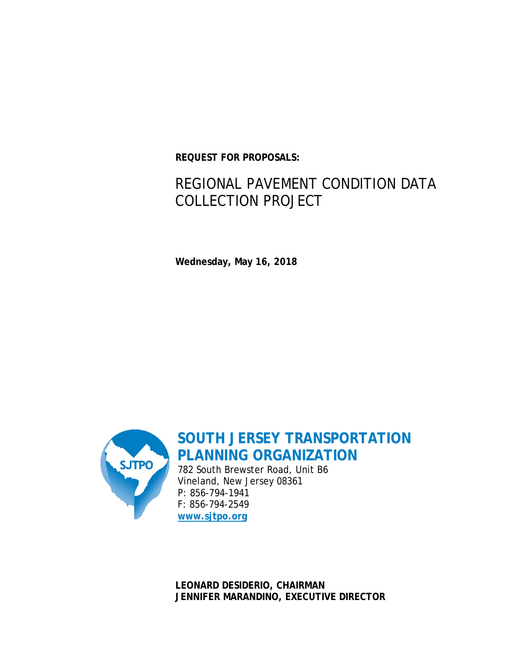**REQUEST FOR PROPOSALS:**

# REGIONAL PAVEMENT CONDITION DATA COLLECTION PROJECT

**Wednesday, May 16, 2018**



**SOUTH JERSEY TRANSPORTATION PLANNING ORGANIZATION**

782 South Brewster Road, Unit B6 Vineland, New Jersey 08361 P: 856-794-1941 F: 856-794-2549 **[www.sjtpo.org](http://www.sjtpo.org/)**

**LEONARD DESIDERIO, CHAIRMAN JENNIFER MARANDINO, EXECUTIVE DIRECTOR**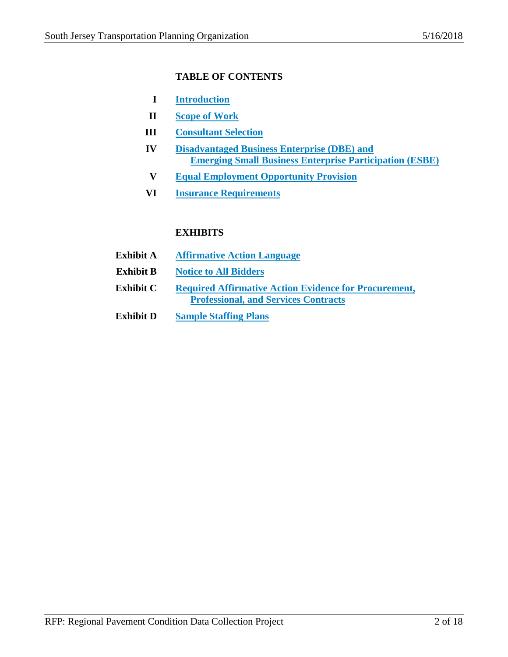# **TABLE OF CONTENTS**

- **I Introduction**
- **II Scope of Work**
- **III Consultant Selection**
- **IV Disadvantaged Business Enterprise (DBE) and Emerging Small Business Enterprise Participation (ESBE)**
- **V Equal Employment Opportunity Provision**
- **VI Insurance Requirements**

# **EXHIBITS**

- **Exhibit A Affirmative Action Language**
- **Exhibit B Notice to All Bidders**
- **Exhibit C Required Affirmative Action Evidence for Procurement, Professional, and Services Contracts**
- **Exhibit D Sample Staffing Plans**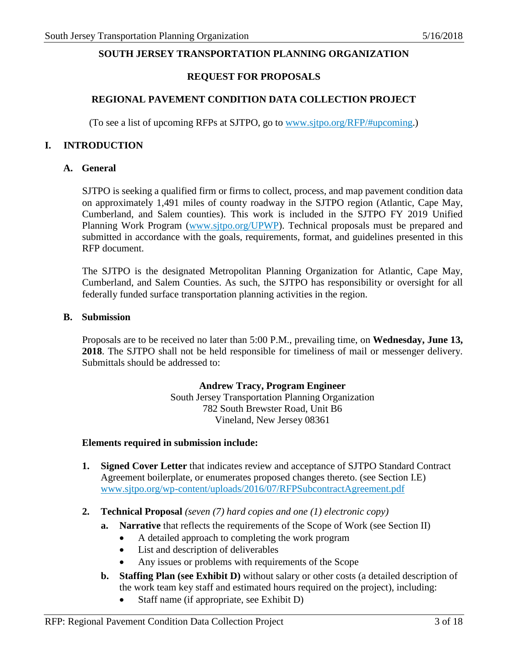## **SOUTH JERSEY TRANSPORTATION PLANNING ORGANIZATION**

#### **REQUEST FOR PROPOSALS**

#### **REGIONAL PAVEMENT CONDITION DATA COLLECTION PROJECT**

(To see a list of upcoming RFPs at SJTPO, go to [www.sjtpo.org/RFP/#upcoming.](http://www.sjtpo.org/RFP/#upcoming))

#### **I. INTRODUCTION**

#### **A. General**

SJTPO is seeking a qualified firm or firms to collect, process, and map pavement condition data on approximately 1,491 miles of county roadway in the SJTPO region (Atlantic, Cape May, Cumberland, and Salem counties). This work is included in the SJTPO FY 2019 Unified Planning Work Program [\(www.sjtpo.org/UPWP\)](http://www.sjtpo.org/UPWP). Technical proposals must be prepared and submitted in accordance with the goals, requirements, format, and guidelines presented in this RFP document.

The SJTPO is the designated Metropolitan Planning Organization for Atlantic, Cape May, Cumberland, and Salem Counties. As such, the SJTPO has responsibility or oversight for all federally funded surface transportation planning activities in the region.

#### **B. Submission**

Proposals are to be received no later than 5:00 P.M., prevailing time, on **Wednesday, June 13, 2018**. The SJTPO shall not be held responsible for timeliness of mail or messenger delivery. Submittals should be addressed to:

#### **Andrew Tracy, Program Engineer**

South Jersey Transportation Planning Organization 782 South Brewster Road, Unit B6 Vineland, New Jersey 08361

#### **Elements required in submission include:**

- **1. Signed Cover Letter** that indicates review and acceptance of SJTPO Standard Contract Agreement boilerplate, or enumerates proposed changes thereto. (see Section I.E) [www.sjtpo.org/wp-content/uploads/2016/07/RFPSubcontractAgreement.pdf](http://www.sjtpo.org/wp-content/uploads/2016/07/RFPSubcontractAgreement.pdf)
- **2. Technical Proposal** *(seven (7) hard copies and one (1) electronic copy)*
	- **a. Narrative** that reflects the requirements of the Scope of Work (see Section II)
		- A detailed approach to completing the work program
		- List and description of deliverables
		- Any issues or problems with requirements of the Scope
	- **b. Staffing Plan (see Exhibit D)** without salary or other costs (a detailed description of the work team key staff and estimated hours required on the project), including:
		- Staff name (if appropriate, see Exhibit D)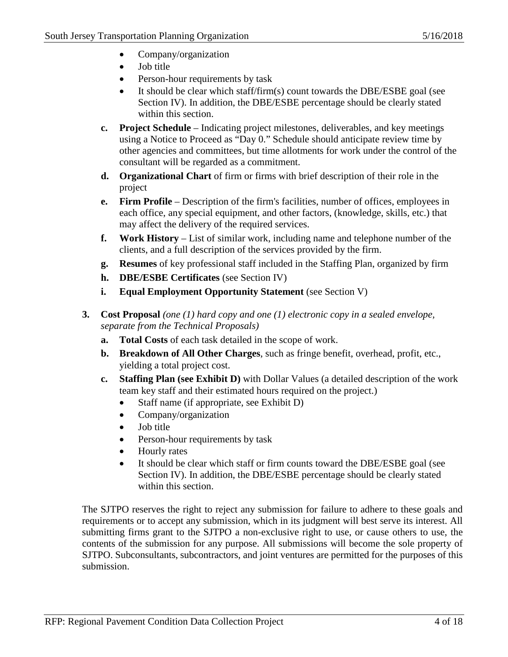- Company/organization
- Job title
- Person-hour requirements by task
- It should be clear which staff/firm(s) count towards the DBE/ESBE goal (see Section IV). In addition, the DBE/ESBE percentage should be clearly stated within this section.
- **c. Project Schedule** Indicating project milestones, deliverables, and key meetings using a Notice to Proceed as "Day 0." Schedule should anticipate review time by other agencies and committees, but time allotments for work under the control of the consultant will be regarded as a commitment.
- **d. Organizational Chart** of firm or firms with brief description of their role in the project
- **e. Firm Profile** Description of the firm's facilities, number of offices, employees in each office, any special equipment, and other factors, (knowledge, skills, etc.) that may affect the delivery of the required services.
- **f. Work History** List of similar work, including name and telephone number of the clients, and a full description of the services provided by the firm.
- **g. Resumes** of key professional staff included in the Staffing Plan, organized by firm
- **h. DBE/ESBE Certificates** (see Section IV)
- **i. Equal Employment Opportunity Statement** (see Section V)
- **3. Cost Proposal** *(one (1) hard copy and one (1) electronic copy in a sealed envelope, separate from the Technical Proposals)*
	- **a. Total Costs** of each task detailed in the scope of work.
	- **b. Breakdown of All Other Charges**, such as fringe benefit, overhead, profit, etc., yielding a total project cost.
	- **c. Staffing Plan (see Exhibit D)** with Dollar Values (a detailed description of the work team key staff and their estimated hours required on the project.)
		- Staff name (if appropriate, see Exhibit D)
		- Company/organization
		- Job title
		- Person-hour requirements by task
		- Hourly rates
		- It should be clear which staff or firm counts toward the DBE/ESBE goal (see Section IV). In addition, the DBE/ESBE percentage should be clearly stated within this section.

The SJTPO reserves the right to reject any submission for failure to adhere to these goals and requirements or to accept any submission, which in its judgment will best serve its interest. All submitting firms grant to the SJTPO a non-exclusive right to use, or cause others to use, the contents of the submission for any purpose. All submissions will become the sole property of SJTPO. Subconsultants, subcontractors, and joint ventures are permitted for the purposes of this submission.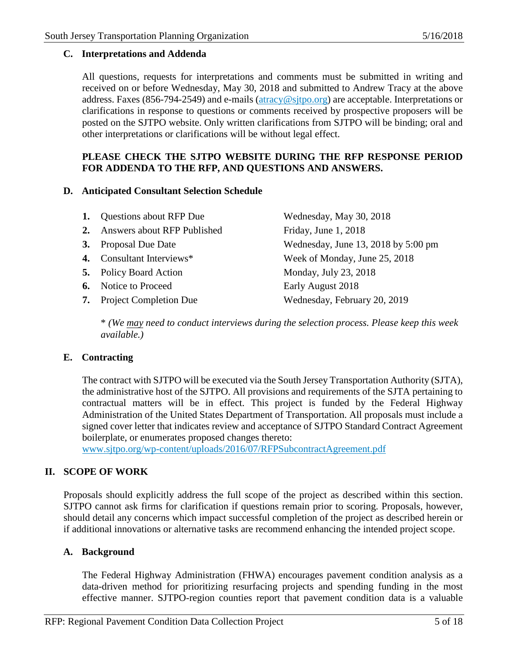#### **C. Interpretations and Addenda**

All questions, requests for interpretations and comments must be submitted in writing and received on or before Wednesday, May 30, 2018 and submitted to Andrew Tracy at the above address. Faxes (856-794-2549) and e-mails [\(atracy@sjtpo.org\)](mailto:atracy@sjtpo.org) are acceptable. Interpretations or clarifications in response to questions or comments received by prospective proposers will be posted on the SJTPO website. Only written clarifications from SJTPO will be binding; oral and other interpretations or clarifications will be without legal effect.

# **PLEASE CHECK THE SJTPO WEBSITE DURING THE RFP RESPONSE PERIOD FOR ADDENDA TO THE RFP, AND QUESTIONS AND ANSWERS.**

#### **D. Anticipated Consultant Selection Schedule**

| <b>1.</b> Questions about RFP Due | Wednesday, May 30, 2018             |
|-----------------------------------|-------------------------------------|
| 2. Answers about RFP Published    | Friday, June 1, 2018                |
| 3. Proposal Due Date              | Wednesday, June 13, 2018 by 5:00 pm |
| 4. Consultant Interviews*         | Week of Monday, June 25, 2018       |
| <b>5.</b> Policy Board Action     | Monday, July 23, 2018               |
| <b>6.</b> Notice to Proceed       | Early August 2018                   |
| <b>7.</b> Project Completion Due  | Wednesday, February 20, 2019        |
|                                   |                                     |

\* *(We may need to conduct interviews during the selection process. Please keep this week available.)*

## **E. Contracting**

The contract with SJTPO will be executed via the South Jersey Transportation Authority (SJTA), the administrative host of the SJTPO. All provisions and requirements of the SJTA pertaining to contractual matters will be in effect. This project is funded by the Federal Highway Administration of the United States Department of Transportation. All proposals must include a signed cover letter that indicates review and acceptance of SJTPO Standard Contract Agreement boilerplate, or enumerates proposed changes thereto:

[www.sjtpo.org/wp-content/uploads/2016/07/RFPSubcontractAgreement.pdf](http://www.sjtpo.org/wp-content/uploads/2016/07/RFPSubcontractAgreement.pdf)

## **II. SCOPE OF WORK**

Proposals should explicitly address the full scope of the project as described within this section. SJTPO cannot ask firms for clarification if questions remain prior to scoring. Proposals, however, should detail any concerns which impact successful completion of the project as described herein or if additional innovations or alternative tasks are recommend enhancing the intended project scope.

## **A. Background**

The Federal Highway Administration (FHWA) encourages pavement condition analysis as a data-driven method for prioritizing resurfacing projects and spending funding in the most effective manner. SJTPO-region counties report that pavement condition data is a valuable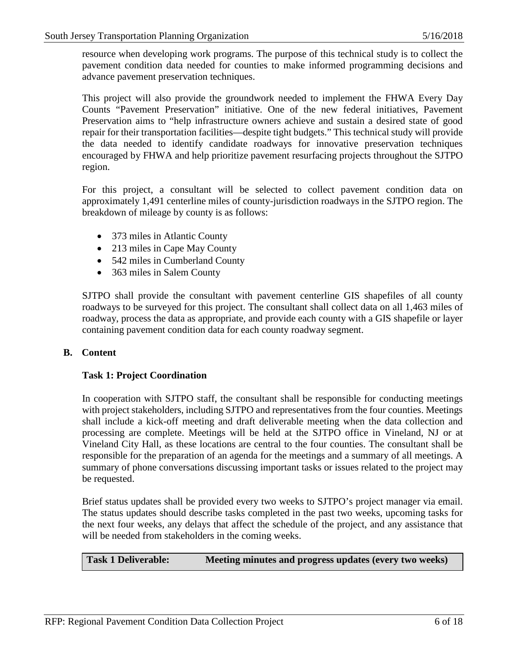resource when developing work programs. The purpose of this technical study is to collect the pavement condition data needed for counties to make informed programming decisions and advance pavement preservation techniques.

This project will also provide the groundwork needed to implement the FHWA Every Day Counts "Pavement Preservation" initiative. One of the new federal initiatives, Pavement Preservation aims to "help infrastructure owners achieve and sustain a desired state of good repair for their transportation facilities—despite tight budgets." This technical study will provide the data needed to identify candidate roadways for innovative preservation techniques encouraged by FHWA and help prioritize pavement resurfacing projects throughout the SJTPO region.

For this project, a consultant will be selected to collect pavement condition data on approximately 1,491 centerline miles of county-jurisdiction roadways in the SJTPO region. The breakdown of mileage by county is as follows:

- 373 miles in Atlantic County
- 213 miles in Cape May County
- 542 miles in Cumberland County
- 363 miles in Salem County

SJTPO shall provide the consultant with pavement centerline GIS shapefiles of all county roadways to be surveyed for this project. The consultant shall collect data on all 1,463 miles of roadway, process the data as appropriate, and provide each county with a GIS shapefile or layer containing pavement condition data for each county roadway segment.

## **B. Content**

## **Task 1: Project Coordination**

In cooperation with SJTPO staff, the consultant shall be responsible for conducting meetings with project stakeholders, including SJTPO and representatives from the four counties. Meetings shall include a kick-off meeting and draft deliverable meeting when the data collection and processing are complete. Meetings will be held at the SJTPO office in Vineland, NJ or at Vineland City Hall, as these locations are central to the four counties. The consultant shall be responsible for the preparation of an agenda for the meetings and a summary of all meetings. A summary of phone conversations discussing important tasks or issues related to the project may be requested.

Brief status updates shall be provided every two weeks to SJTPO's project manager via email. The status updates should describe tasks completed in the past two weeks, upcoming tasks for the next four weeks, any delays that affect the schedule of the project, and any assistance that will be needed from stakeholders in the coming weeks.

**Task 1 Deliverable: Meeting minutes and progress updates (every two weeks)**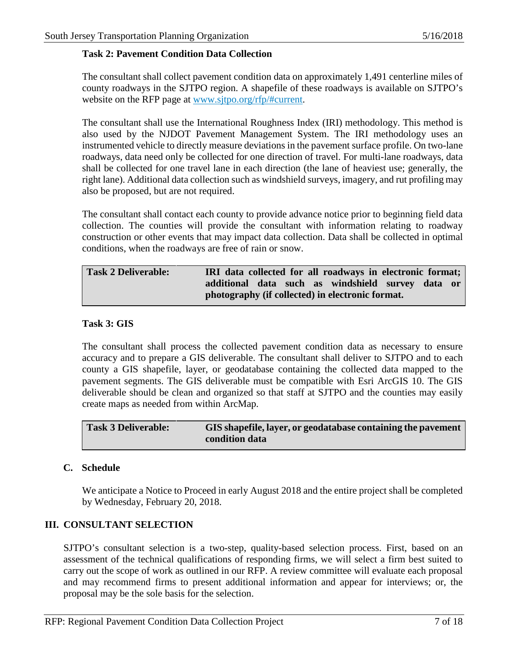#### **Task 2: Pavement Condition Data Collection**

The consultant shall collect pavement condition data on approximately 1,491 centerline miles of county roadways in the SJTPO region. A shapefile of these roadways is available on SJTPO's website on the RFP page at [www.sjtpo.org/rfp/#current.](http://www.sjtpo.org/rfp/#current)

The consultant shall use the International Roughness Index (IRI) methodology. This method is also used by the NJDOT Pavement Management System. The IRI methodology uses an instrumented vehicle to directly measure deviations in the pavement surface profile. On two-lane roadways, data need only be collected for one direction of travel. For multi-lane roadways, data shall be collected for one travel lane in each direction (the lane of heaviest use; generally, the right lane). Additional data collection such as windshield surveys, imagery, and rut profiling may also be proposed, but are not required.

The consultant shall contact each county to provide advance notice prior to beginning field data collection. The counties will provide the consultant with information relating to roadway construction or other events that may impact data collection. Data shall be collected in optimal conditions, when the roadways are free of rain or snow.

| <b>Task 2 Deliverable:</b> | IRI data collected for all roadways in electronic format; |  |  |  |  |  |  |  |
|----------------------------|-----------------------------------------------------------|--|--|--|--|--|--|--|
|                            | additional data such as windshield survey data or         |  |  |  |  |  |  |  |
|                            | photography (if collected) in electronic format.          |  |  |  |  |  |  |  |

#### **Task 3: GIS**

The consultant shall process the collected pavement condition data as necessary to ensure accuracy and to prepare a GIS deliverable. The consultant shall deliver to SJTPO and to each county a GIS shapefile, layer, or geodatabase containing the collected data mapped to the pavement segments. The GIS deliverable must be compatible with Esri ArcGIS 10. The GIS deliverable should be clean and organized so that staff at SJTPO and the counties may easily create maps as needed from within ArcMap.

| <b>Task 3 Deliverable:</b> | GIS shapefile, layer, or geodatabase containing the pavement |
|----------------------------|--------------------------------------------------------------|
|                            | condition data                                               |

## **C. Schedule**

We anticipate a Notice to Proceed in early August 2018 and the entire project shall be completed by Wednesday, February 20, 2018.

## **III. CONSULTANT SELECTION**

SJTPO's consultant selection is a two-step, quality-based selection process. First, based on an assessment of the technical qualifications of responding firms, we will select a firm best suited to carry out the scope of work as outlined in our RFP. A review committee will evaluate each proposal and may recommend firms to present additional information and appear for interviews; or, the proposal may be the sole basis for the selection.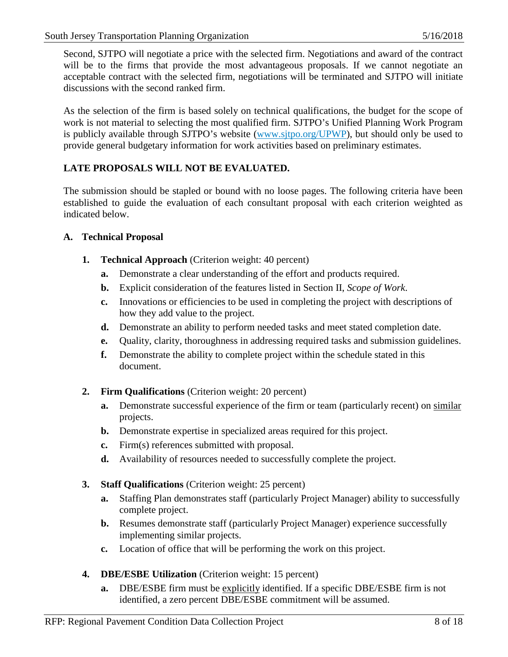Second, SJTPO will negotiate a price with the selected firm. Negotiations and award of the contract will be to the firms that provide the most advantageous proposals. If we cannot negotiate an acceptable contract with the selected firm, negotiations will be terminated and SJTPO will initiate discussions with the second ranked firm.

As the selection of the firm is based solely on technical qualifications, the budget for the scope of work is not material to selecting the most qualified firm. SJTPO's Unified Planning Work Program is publicly available through SJTPO's website (www.sitpo.org/UPWP), but should only be used to provide general budgetary information for work activities based on preliminary estimates.

# **LATE PROPOSALS WILL NOT BE EVALUATED.**

The submission should be stapled or bound with no loose pages. The following criteria have been established to guide the evaluation of each consultant proposal with each criterion weighted as indicated below.

## **A. Technical Proposal**

- **1. Technical Approach** (Criterion weight: 40 percent)
	- **a.** Demonstrate a clear understanding of the effort and products required.
	- **b.** Explicit consideration of the features listed in Section II, *Scope of Work*.
	- **c.** Innovations or efficiencies to be used in completing the project with descriptions of how they add value to the project.
	- **d.** Demonstrate an ability to perform needed tasks and meet stated completion date.
	- **e.** Quality, clarity, thoroughness in addressing required tasks and submission guidelines.
	- **f.** Demonstrate the ability to complete project within the schedule stated in this document.
- **2. Firm Qualifications** (Criterion weight: 20 percent)
	- **a.** Demonstrate successful experience of the firm or team (particularly recent) on similar projects.
	- **b.** Demonstrate expertise in specialized areas required for this project.
	- **c.** Firm(s) references submitted with proposal.
	- **d.** Availability of resources needed to successfully complete the project.
- **3. Staff Qualifications** (Criterion weight: 25 percent)
	- **a.** Staffing Plan demonstrates staff (particularly Project Manager) ability to successfully complete project.
	- **b.** Resumes demonstrate staff (particularly Project Manager) experience successfully implementing similar projects.
	- **c.** Location of office that will be performing the work on this project.
- **4. DBE/ESBE Utilization** (Criterion weight: 15 percent)
	- **a.** DBE/ESBE firm must be explicitly identified. If a specific DBE/ESBE firm is not identified, a zero percent DBE/ESBE commitment will be assumed.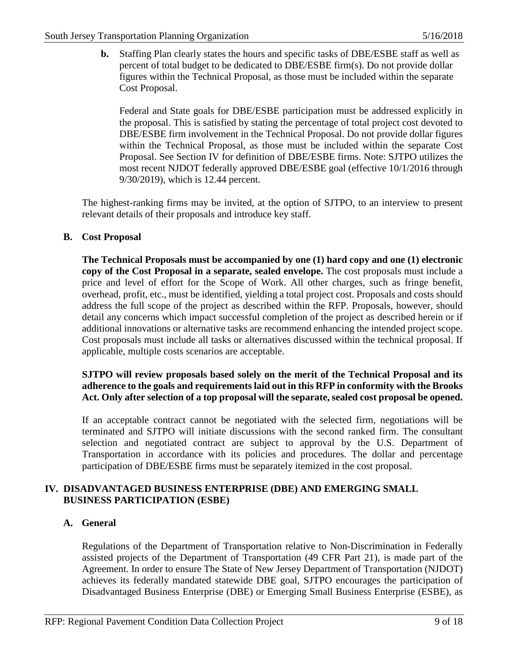**b.** Staffing Plan clearly states the hours and specific tasks of DBE/ESBE staff as well as percent of total budget to be dedicated to DBE/ESBE firm(s). Do not provide dollar figures within the Technical Proposal, as those must be included within the separate Cost Proposal.

Federal and State goals for DBE/ESBE participation must be addressed explicitly in the proposal. This is satisfied by stating the percentage of total project cost devoted to DBE/ESBE firm involvement in the Technical Proposal. Do not provide dollar figures within the Technical Proposal, as those must be included within the separate Cost Proposal. See Section IV for definition of DBE/ESBE firms. Note: SJTPO utilizes the most recent NJDOT federally approved DBE/ESBE goal (effective 10/1/2016 through 9/30/2019), which is 12.44 percent.

The highest-ranking firms may be invited, at the option of SJTPO, to an interview to present relevant details of their proposals and introduce key staff.

## **B. Cost Proposal**

**The Technical Proposals must be accompanied by one (1) hard copy and one (1) electronic copy of the Cost Proposal in a separate, sealed envelope.** The cost proposals must include a price and level of effort for the Scope of Work. All other charges, such as fringe benefit, overhead, profit, etc., must be identified, yielding a total project cost. Proposals and costs should address the full scope of the project as described within the RFP. Proposals, however, should detail any concerns which impact successful completion of the project as described herein or if additional innovations or alternative tasks are recommend enhancing the intended project scope. Cost proposals must include all tasks or alternatives discussed within the technical proposal. If applicable, multiple costs scenarios are acceptable.

# **SJTPO will review proposals based solely on the merit of the Technical Proposal and its adherence to the goals and requirements laid out in this RFP in conformity with the Brooks Act. Only after selection of a top proposal will the separate, sealed cost proposal be opened.**

If an acceptable contract cannot be negotiated with the selected firm, negotiations will be terminated and SJTPO will initiate discussions with the second ranked firm. The consultant selection and negotiated contract are subject to approval by the U.S. Department of Transportation in accordance with its policies and procedures. The dollar and percentage participation of DBE/ESBE firms must be separately itemized in the cost proposal.

## **IV. DISADVANTAGED BUSINESS ENTERPRISE (DBE) AND EMERGING SMALL BUSINESS PARTICIPATION (ESBE)**

## **A. General**

Regulations of the Department of Transportation relative to Non-Discrimination in Federally assisted projects of the Department of Transportation (49 CFR Part 21), is made part of the Agreement. In order to ensure The State of New Jersey Department of Transportation (NJDOT) achieves its federally mandated statewide DBE goal, SJTPO encourages the participation of Disadvantaged Business Enterprise (DBE) or Emerging Small Business Enterprise (ESBE), as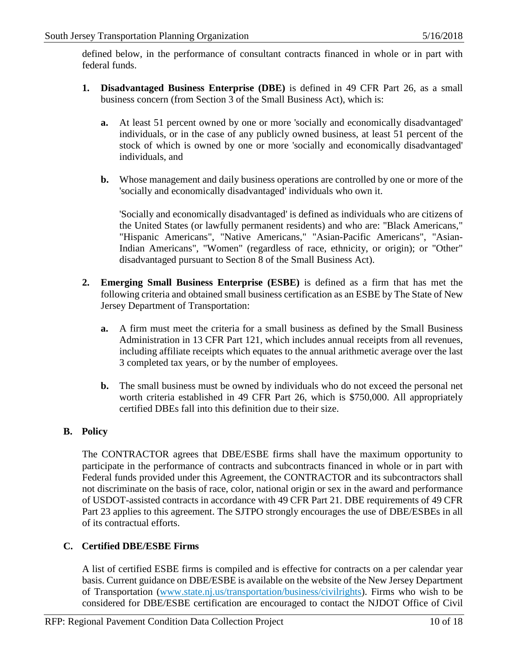defined below, in the performance of consultant contracts financed in whole or in part with federal funds.

- **1. Disadvantaged Business Enterprise (DBE)** is defined in 49 CFR Part 26, as a small business concern (from Section 3 of the Small Business Act), which is:
	- **a.** At least 51 percent owned by one or more 'socially and economically disadvantaged' individuals, or in the case of any publicly owned business, at least 51 percent of the stock of which is owned by one or more 'socially and economically disadvantaged' individuals, and
	- **b.** Whose management and daily business operations are controlled by one or more of the 'socially and economically disadvantaged' individuals who own it.

'Socially and economically disadvantaged' is defined as individuals who are citizens of the United States (or lawfully permanent residents) and who are: "Black Americans," "Hispanic Americans", "Native Americans," "Asian-Pacific Americans", "Asian-Indian Americans", "Women" (regardless of race, ethnicity, or origin); or "Other" disadvantaged pursuant to Section 8 of the Small Business Act).

- **2. Emerging Small Business Enterprise (ESBE)** is defined as a firm that has met the following criteria and obtained small business certification as an ESBE by The State of New Jersey Department of Transportation:
	- **a.** A firm must meet the criteria for a small business as defined by the Small Business Administration in 13 CFR Part 121, which includes annual receipts from all revenues, including affiliate receipts which equates to the annual arithmetic average over the last 3 completed tax years, or by the number of employees.
	- **b.** The small business must be owned by individuals who do not exceed the personal net worth criteria established in 49 CFR Part 26, which is \$750,000. All appropriately certified DBEs fall into this definition due to their size.

# **B. Policy**

The CONTRACTOR agrees that DBE/ESBE firms shall have the maximum opportunity to participate in the performance of contracts and subcontracts financed in whole or in part with Federal funds provided under this Agreement, the CONTRACTOR and its subcontractors shall not discriminate on the basis of race, color, national origin or sex in the award and performance of USDOT-assisted contracts in accordance with 49 CFR Part 21. DBE requirements of 49 CFR Part 23 applies to this agreement. The SJTPO strongly encourages the use of DBE/ESBEs in all of its contractual efforts.

# **C. Certified DBE/ESBE Firms**

A list of certified ESBE firms is compiled and is effective for contracts on a per calendar year basis. Current guidance on DBE/ESBE is available on the website of the New Jersey Department of Transportation [\(www.state.nj.us/transportation/business/civilrights\)](http://www.state.nj.us/transportation/business/civilrights). Firms who wish to be considered for DBE/ESBE certification are encouraged to contact the NJDOT Office of Civil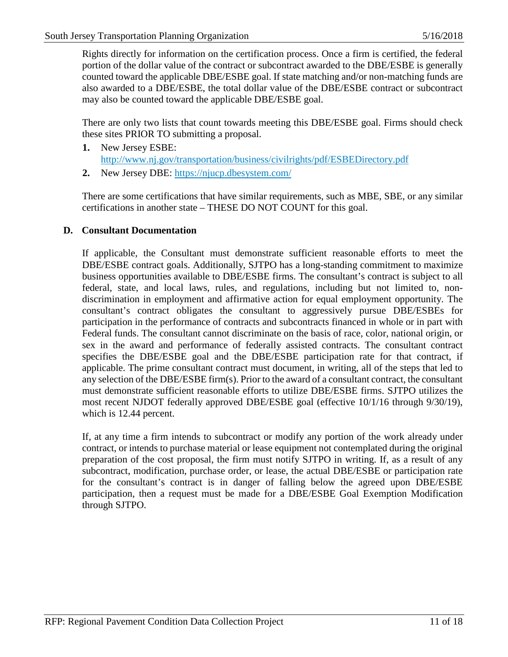Rights directly for information on the certification process. Once a firm is certified, the federal portion of the dollar value of the contract or subcontract awarded to the DBE/ESBE is generally counted toward the applicable DBE/ESBE goal. If state matching and/or non-matching funds are also awarded to a DBE/ESBE, the total dollar value of the DBE/ESBE contract or subcontract may also be counted toward the applicable DBE/ESBE goal.

There are only two lists that count towards meeting this DBE/ESBE goal. Firms should check these sites PRIOR TO submitting a proposal.

- **1.** New Jersey ESBE: <http://www.nj.gov/transportation/business/civilrights/pdf/ESBEDirectory.pdf>
- **2.** New Jersey DBE:<https://njucp.dbesystem.com/>

There are some certifications that have similar requirements, such as MBE, SBE, or any similar certifications in another state – THESE DO NOT COUNT for this goal.

#### **D. Consultant Documentation**

If applicable, the Consultant must demonstrate sufficient reasonable efforts to meet the DBE/ESBE contract goals. Additionally, SJTPO has a long-standing commitment to maximize business opportunities available to DBE/ESBE firms. The consultant's contract is subject to all federal, state, and local laws, rules, and regulations, including but not limited to, nondiscrimination in employment and affirmative action for equal employment opportunity. The consultant's contract obligates the consultant to aggressively pursue DBE/ESBEs for participation in the performance of contracts and subcontracts financed in whole or in part with Federal funds. The consultant cannot discriminate on the basis of race, color, national origin, or sex in the award and performance of federally assisted contracts. The consultant contract specifies the DBE/ESBE goal and the DBE/ESBE participation rate for that contract, if applicable. The prime consultant contract must document, in writing, all of the steps that led to any selection of the DBE/ESBE firm(s). Prior to the award of a consultant contract, the consultant must demonstrate sufficient reasonable efforts to utilize DBE/ESBE firms. SJTPO utilizes the most recent NJDOT federally approved DBE/ESBE goal (effective 10/1/16 through 9/30/19), which is 12.44 percent.

If, at any time a firm intends to subcontract or modify any portion of the work already under contract, or intends to purchase material or lease equipment not contemplated during the original preparation of the cost proposal, the firm must notify SJTPO in writing. If, as a result of any subcontract, modification, purchase order, or lease, the actual DBE/ESBE or participation rate for the consultant's contract is in danger of falling below the agreed upon DBE/ESBE participation, then a request must be made for a DBE/ESBE Goal Exemption Modification through SJTPO.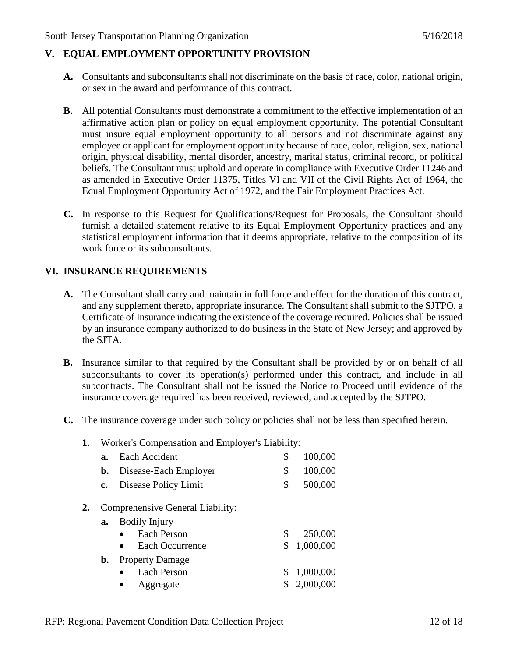# **V. EQUAL EMPLOYMENT OPPORTUNITY PROVISION**

- **A.** Consultants and subconsultants shall not discriminate on the basis of race, color, national origin, or sex in the award and performance of this contract.
- **B.** All potential Consultants must demonstrate a commitment to the effective implementation of an affirmative action plan or policy on equal employment opportunity. The potential Consultant must insure equal employment opportunity to all persons and not discriminate against any employee or applicant for employment opportunity because of race, color, religion, sex, national origin, physical disability, mental disorder, ancestry, marital status, criminal record, or political beliefs. The Consultant must uphold and operate in compliance with Executive Order 11246 and as amended in Executive Order 11375, Titles VI and VII of the Civil Rights Act of 1964, the Equal Employment Opportunity Act of 1972, and the Fair Employment Practices Act.
- **C.** In response to this Request for Qualifications/Request for Proposals, the Consultant should furnish a detailed statement relative to its Equal Employment Opportunity practices and any statistical employment information that it deems appropriate, relative to the composition of its work force or its subconsultants.

# **VI. INSURANCE REQUIREMENTS**

- **A.** The Consultant shall carry and maintain in full force and effect for the duration of this contract, and any supplement thereto, appropriate insurance. The Consultant shall submit to the SJTPO, a Certificate of Insurance indicating the existence of the coverage required. Policies shall be issued by an insurance company authorized to do business in the State of New Jersey; and approved by the SJTA.
- **B.** Insurance similar to that required by the Consultant shall be provided by or on behalf of all subconsultants to cover its operation(s) performed under this contract, and include in all subcontracts. The Consultant shall not be issued the Notice to Proceed until evidence of the insurance coverage required has been received, reviewed, and accepted by the SJTPO.
- **C.** The insurance coverage under such policy or policies shall not be less than specified herein.

## **1.** Worker's Compensation and Employer's Liability:

- **a.** Each Accident \$ 100,000 **b.** Disease-Each Employer  $\qquad$  \$ 100,000 **c.** Disease Policy Limit  $\qquad$  \$ 500,000
- **2.** Comprehensive General Liability:

| a. | <b>Bodily Injury</b>                |    |             |
|----|-------------------------------------|----|-------------|
|    | <b>Each Person</b>                  | S. | 250,000     |
|    | <b>Each Occurrence</b><br>$\bullet$ |    | \$1,000,000 |
|    | <b>b.</b> Property Damage           |    |             |
|    | <b>Each Person</b>                  |    | \$1,000,000 |
|    | $\bullet$ Aggregate                 |    | \$2,000,000 |
|    |                                     |    |             |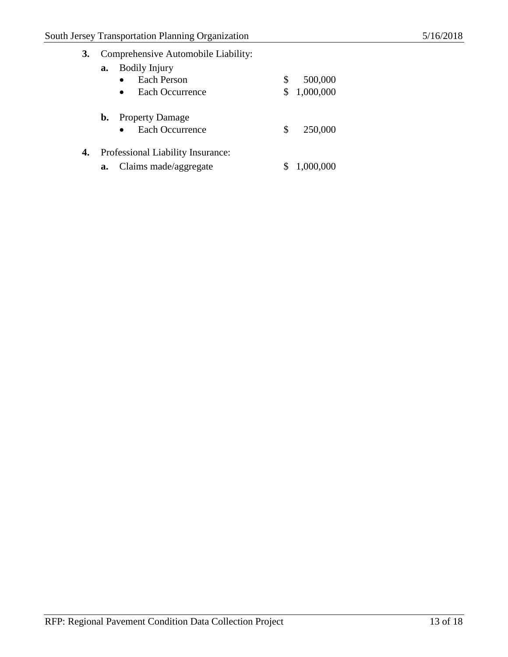| 3.<br>Comprehensive Automobile Liability: |  |
|-------------------------------------------|--|
|-------------------------------------------|--|

|    | a.             | <b>Bodily Injury</b><br>Each Person<br>Each Occurrence | \$<br>\$ | 500,000<br>1,000,000 |
|----|----------------|--------------------------------------------------------|----------|----------------------|
|    | $\mathbf{b}$ . | <b>Property Damage</b><br>Each Occurrence              | S        | 250,000              |
| 4. |                | Professional Liability Insurance:                      |          |                      |
|    | a.             | Claims made/aggregate                                  |          | 1,000,000            |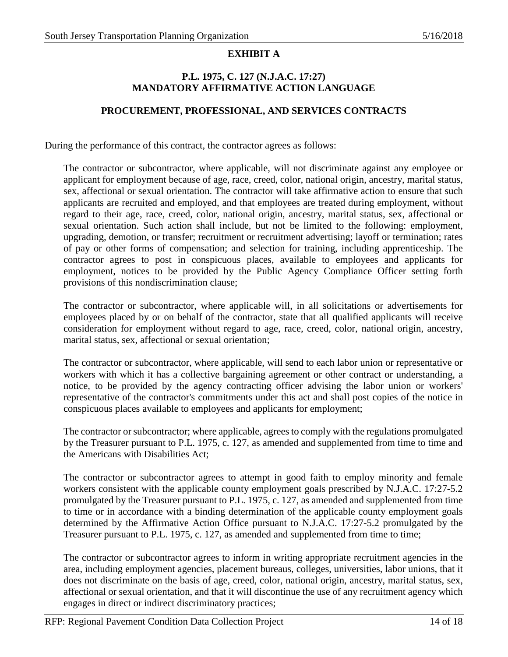# **EXHIBIT A**

#### **P.L. 1975, C. 127 (N.J.A.C. 17:27) MANDATORY AFFIRMATIVE ACTION LANGUAGE**

#### **PROCUREMENT, PROFESSIONAL, AND SERVICES CONTRACTS**

During the performance of this contract, the contractor agrees as follows:

The contractor or subcontractor, where applicable, will not discriminate against any employee or applicant for employment because of age, race, creed, color, national origin, ancestry, marital status, sex, affectional or sexual orientation. The contractor will take affirmative action to ensure that such applicants are recruited and employed, and that employees are treated during employment, without regard to their age, race, creed, color, national origin, ancestry, marital status, sex, affectional or sexual orientation. Such action shall include, but not be limited to the following: employment, upgrading, demotion, or transfer; recruitment or recruitment advertising; layoff or termination; rates of pay or other forms of compensation; and selection for training, including apprenticeship. The contractor agrees to post in conspicuous places, available to employees and applicants for employment, notices to be provided by the Public Agency Compliance Officer setting forth provisions of this nondiscrimination clause;

The contractor or subcontractor, where applicable will, in all solicitations or advertisements for employees placed by or on behalf of the contractor, state that all qualified applicants will receive consideration for employment without regard to age, race, creed, color, national origin, ancestry, marital status, sex, affectional or sexual orientation;

The contractor or subcontractor, where applicable, will send to each labor union or representative or workers with which it has a collective bargaining agreement or other contract or understanding, a notice, to be provided by the agency contracting officer advising the labor union or workers' representative of the contractor's commitments under this act and shall post copies of the notice in conspicuous places available to employees and applicants for employment;

The contractor orsubcontractor; where applicable, agrees to comply with the regulations promulgated by the Treasurer pursuant to P.L. 1975, c. 127, as amended and supplemented from time to time and the Americans with Disabilities Act;

The contractor or subcontractor agrees to attempt in good faith to employ minority and female workers consistent with the applicable county employment goals prescribed by N.J.A.C. 17:27-5.2 promulgated by the Treasurer pursuant to P.L. 1975, c. 127, as amended and supplemented from time to time or in accordance with a binding determination of the applicable county employment goals determined by the Affirmative Action Office pursuant to N.J.A.C. 17:27-5.2 promulgated by the Treasurer pursuant to P.L. 1975, c. 127, as amended and supplemented from time to time;

The contractor or subcontractor agrees to inform in writing appropriate recruitment agencies in the area, including employment agencies, placement bureaus, colleges, universities, labor unions, that it does not discriminate on the basis of age, creed, color, national origin, ancestry, marital status, sex, affectional or sexual orientation, and that it will discontinue the use of any recruitment agency which engages in direct or indirect discriminatory practices;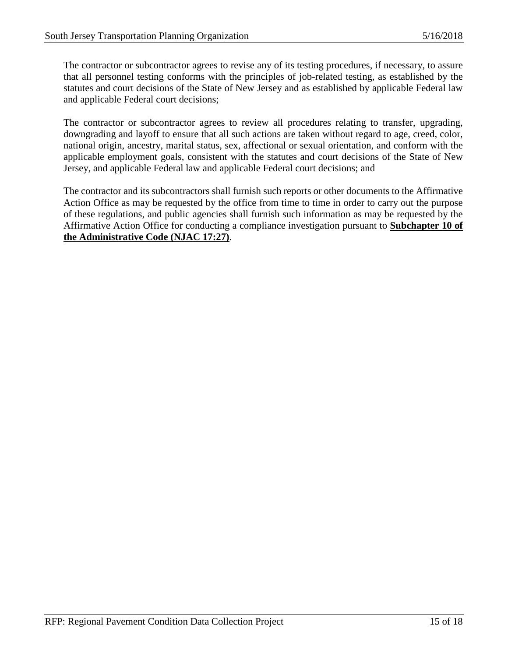The contractor or subcontractor agrees to revise any of its testing procedures, if necessary, to assure that all personnel testing conforms with the principles of job-related testing, as established by the statutes and court decisions of the State of New Jersey and as established by applicable Federal law and applicable Federal court decisions;

The contractor or subcontractor agrees to review all procedures relating to transfer, upgrading, downgrading and layoff to ensure that all such actions are taken without regard to age, creed, color, national origin, ancestry, marital status, sex, affectional or sexual orientation, and conform with the applicable employment goals, consistent with the statutes and court decisions of the State of New Jersey, and applicable Federal law and applicable Federal court decisions; and

The contractor and its subcontractors shall furnish such reports or other documents to the Affirmative Action Office as may be requested by the office from time to time in order to carry out the purpose of these regulations, and public agencies shall furnish such information as may be requested by the Affirmative Action Office for conducting a compliance investigation pursuant to **Subchapter 10 of the Administrative Code (NJAC 17:27)**.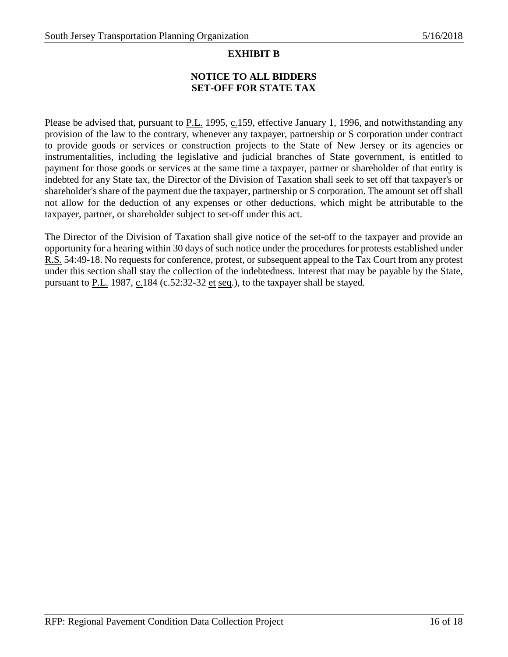# **EXHIBIT B**

# **NOTICE TO ALL BIDDERS SET-OFF FOR STATE TAX**

Please be advised that, pursuant to **P.L.** 1995, c.159, effective January 1, 1996, and notwithstanding any provision of the law to the contrary, whenever any taxpayer, partnership or S corporation under contract to provide goods or services or construction projects to the State of New Jersey or its agencies or instrumentalities, including the legislative and judicial branches of State government, is entitled to payment for those goods or services at the same time a taxpayer, partner or shareholder of that entity is indebted for any State tax, the Director of the Division of Taxation shall seek to set off that taxpayer's or shareholder's share of the payment due the taxpayer, partnership or S corporation. The amount set off shall not allow for the deduction of any expenses or other deductions, which might be attributable to the taxpayer, partner, or shareholder subject to set-off under this act.

The Director of the Division of Taxation shall give notice of the set-off to the taxpayer and provide an opportunity for a hearing within 30 days of such notice under the procedures for protests established under R.S. 54:49-18. No requests for conference, protest, or subsequent appeal to the Tax Court from any protest under this section shall stay the collection of the indebtedness. Interest that may be payable by the State, pursuant to  $P.L.$  1987,  $C.184$  (c.52:32-32 et seq.), to the taxpayer shall be stayed.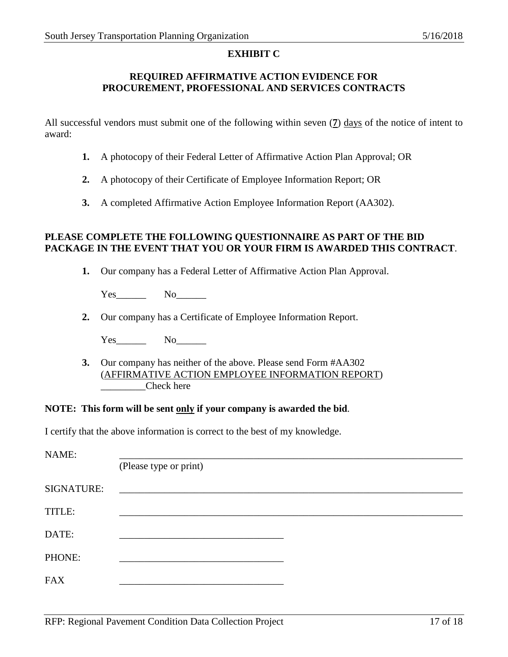#### **EXHIBIT C**

#### **REQUIRED AFFIRMATIVE ACTION EVIDENCE FOR PROCUREMENT, PROFESSIONAL AND SERVICES CONTRACTS**

All successful vendors must submit one of the following within seven (**7**) days of the notice of intent to award:

- **1.** A photocopy of their Federal Letter of Affirmative Action Plan Approval; OR
- **2.** A photocopy of their Certificate of Employee Information Report; OR
- **3.** A completed Affirmative Action Employee Information Report (AA302).

#### **PLEASE COMPLETE THE FOLLOWING QUESTIONNAIRE AS PART OF THE BID PACKAGE IN THE EVENT THAT YOU OR YOUR FIRM IS AWARDED THIS CONTRACT**.

**1.** Our company has a Federal Letter of Affirmative Action Plan Approval.

Yes No

**2.** Our company has a Certificate of Employee Information Report.

Yes\_\_\_\_\_\_ No\_\_\_\_\_\_

**3.** Our company has neither of the above. Please send Form #AA302 (AFFIRMATIVE ACTION EMPLOYEE INFORMATION REPORT) Check here

#### **NOTE: This form will be sent only if your company is awarded the bid**.

I certify that the above information is correct to the best of my knowledge.

| NAME:             |                                                           |  |
|-------------------|-----------------------------------------------------------|--|
|                   | (Please type or print)                                    |  |
| <b>SIGNATURE:</b> | <u> 1989 - John Stone, Amerikaansk politiker (* 1918)</u> |  |
| TITLE:            |                                                           |  |
| DATE:             |                                                           |  |
| PHONE:            |                                                           |  |
| <b>FAX</b>        |                                                           |  |